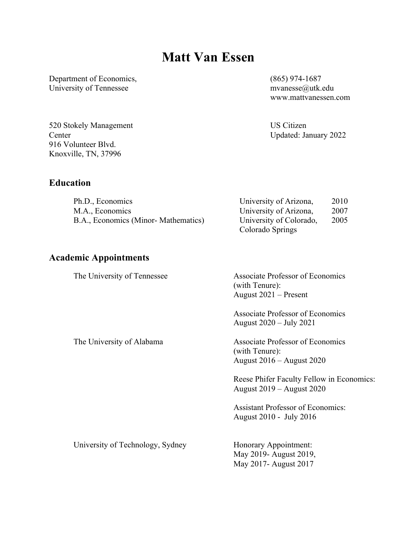# **Matt Van Essen**

Department of Economics, University of Tennessee

(865) 974-1687 mvanesse@utk.edu www.mattvanessen.com

US Citizen Updated: January 2022

Colorado Springs

520 Stokely Management **Center** 916 Volunteer Blvd. Knoxville, TN, 37996

# **Education**

| Ph.D., Economics                    | University of Arizona,  | 2010 |
|-------------------------------------|-------------------------|------|
| M.A., Economics                     | University of Arizona,  | 2007 |
| B.A., Economics (Minor-Mathematics) | University of Colorado, | 2005 |

### **Academic Appointments**

The University of Tennessee Associate Professor of Economics (with Tenure): August 2021 – Present Associate Professor of Economics August 2020 – July 2021 The University of Alabama Associate Professor of Economics (with Tenure): August 2016 – August 2020 Reese Phifer Faculty Fellow in Economics: August 2019 – August 2020 Assistant Professor of Economics: August 2010 - July 2016 University of Technology, Sydney Honorary Appointment: May 2019- August 2019, May 2017- August 2017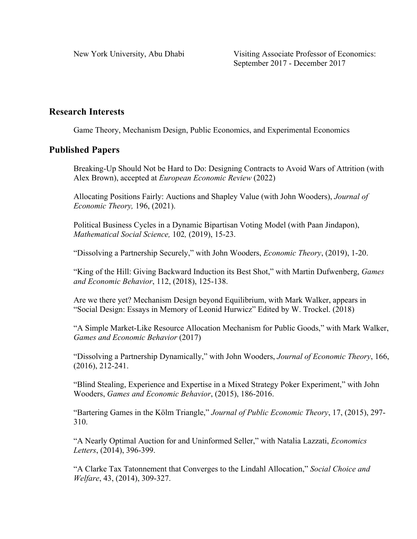New York University, Abu Dhabi Visiting Associate Professor of Economics: September 2017 - December 2017

# **Research Interests**

Game Theory, Mechanism Design, Public Economics, and Experimental Economics

### **Published Papers**

Breaking-Up Should Not be Hard to Do: Designing Contracts to Avoid Wars of Attrition (with Alex Brown), accepted at *European Economic Review* (2022)

Allocating Positions Fairly: Auctions and Shapley Value (with John Wooders), *Journal of Economic Theory,* 196, (2021).

Political Business Cycles in a Dynamic Bipartisan Voting Model (with Paan Jindapon), *Mathematical Social Science,* 102*,* (2019), 15-23.

"Dissolving a Partnership Securely," with John Wooders, *Economic Theory*, (2019), 1-20.

"King of the Hill: Giving Backward Induction its Best Shot," with Martin Dufwenberg, *Games and Economic Behavior*, 112, (2018), 125-138.

Are we there yet? Mechanism Design beyond Equilibrium, with Mark Walker, appears in "Social Design: Essays in Memory of Leonid Hurwicz" Edited by W. Trockel. (2018)

"A Simple Market-Like Resource Allocation Mechanism for Public Goods," with Mark Walker, *Games and Economic Behavior* (2017)

"Dissolving a Partnership Dynamically," with John Wooders, *Journal of Economic Theory*, 166, (2016), 212-241.

"Blind Stealing, Experience and Expertise in a Mixed Strategy Poker Experiment," with John Wooders, *Games and Economic Behavior*, (2015), 186-2016.

"Bartering Games in the Kölm Triangle," *Journal of Public Economic Theory*, 17, (2015), 297- 310.

"A Nearly Optimal Auction for and Uninformed Seller," with Natalia Lazzati, *Economics Letters*, (2014), 396-399.

"A Clarke Tax Tatonnement that Converges to the Lindahl Allocation," *Social Choice and Welfare*, 43, (2014), 309-327.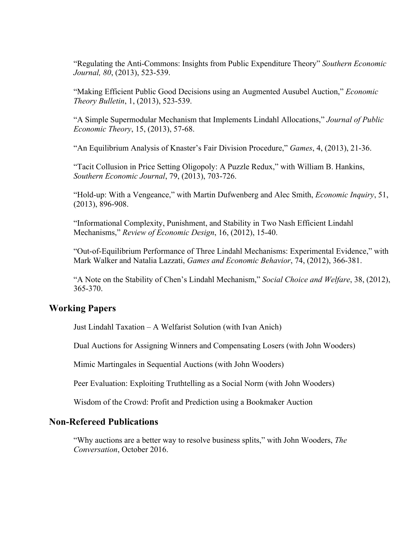"Regulating the Anti-Commons: Insights from Public Expenditure Theory" *Southern Economic Journal, 80*, (2013), 523-539.

"Making Efficient Public Good Decisions using an Augmented Ausubel Auction," *Economic Theory Bulletin*, 1, (2013), 523-539.

"A Simple Supermodular Mechanism that Implements Lindahl Allocations," *Journal of Public Economic Theory*, 15, (2013), 57-68.

"An Equilibrium Analysis of Knaster's Fair Division Procedure," *Games*, 4, (2013), 21-36.

"Tacit Collusion in Price Setting Oligopoly: A Puzzle Redux," with William B. Hankins, *Southern Economic Journal*, 79, (2013), 703-726.

"Hold-up: With a Vengeance," with Martin Dufwenberg and Alec Smith, *Economic Inquiry*, 51, (2013), 896-908.

"Informational Complexity, Punishment, and Stability in Two Nash Efficient Lindahl Mechanisms," *Review of Economic Design*, 16, (2012), 15-40.

"Out-of-Equilibrium Performance of Three Lindahl Mechanisms: Experimental Evidence," with Mark Walker and Natalia Lazzati, *Games and Economic Behavior*, 74, (2012), 366-381.

"A Note on the Stability of Chen's Lindahl Mechanism," *Social Choice and Welfare*, 38, (2012), 365-370.

# **Working Papers**

Just Lindahl Taxation – A Welfarist Solution (with Ivan Anich)

Dual Auctions for Assigning Winners and Compensating Losers (with John Wooders)

Mimic Martingales in Sequential Auctions (with John Wooders)

Peer Evaluation: Exploiting Truthtelling as a Social Norm (with John Wooders)

Wisdom of the Crowd: Profit and Prediction using a Bookmaker Auction

### **Non-Refereed Publications**

"Why auctions are a better way to resolve business splits," with John Wooders, *The Conversation*, October 2016.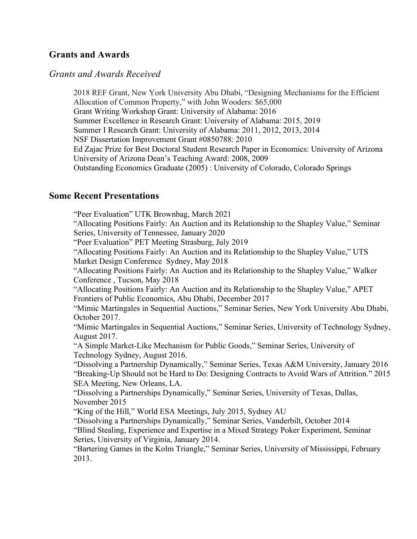# **Grants and Awards**

#### *Grants and Awards Received*

2018 REF Grant, New York University Abu Dhabi, "Designing Mechanisms for the Efficient Allocation of Common Property," with John Wooders: \$65,000 Grant Writing Workshop Grant: University of Alabama: 2016 Summer Excellence in Research Grant: University of Alabama: 2015, 2019 Summer I Research Grant: University of Alabama: 2011, 2012, 2013, 2014 NSF Dissertation Improvement Grant #0850788: 2010 Ed Zajac Prize for Best Doctoral Student Research Paper in Economics: University of Arizona University of Arizona Dean's Teaching Award: 2008, 2009 Outstanding Economics Graduate (2005) : University of Colorado, Colorado Springs

### **Some Recent Presentations**

"Peer Evaluation" UTK Brownbag, March 2021 "Allocating Positions Fairly: An Auction and its Relationship to the Shapley Value," Seminar Series, University of Tennessee, January 2020 "Peer Evaluation" PET Meeting Strasburg, July 2019 "Allocating Positions Fairly: An Auction and its Relationship to the Shapley Value," UTS Market Design Conference Sydney, May 2018 "Allocating Positions Fairly: An Auction and its Relationship to the Shapley Value," Walker Conference , Tucson, May 2018 "Allocating Positions Fairly: An Auction and its Relationship to the Shapley Value," APET Frontiers of Public Economics, Abu Dhabi, December 2017 "Mimic Martingales in Sequential Auctions," Seminar Series, New York University Abu Dhabi, October 2017. "Mimic Martingales in Sequential Auctions," Seminar Series, University of Technology Sydney, August 2017. "A Simple Market-Like Mechanism for Public Goods," Seminar Series, University of Technology Sydney, August 2016. "Dissolving a Partnership Dynamically," Seminar Series, Texas A&M University, January 2016 "Breaking-Up Should not be Hard to Do: Designing Contracts to Avoid Wars of Attrition." 2015 SEA Meeting, New Orleans, LA. "Dissolving a Partnerships Dynamically," Seminar Series, University of Texas, Dallas, November 2015 "King of the Hill," World ESA Meetings, July 2015, Sydney AU "Dissolving a Partnerships Dynamically," Seminar Series, Vanderbilt, October 2014 "Blind Stealing, Experience and Expertise in a Mixed Strategy Poker Experiment, Seminar Series, University of Virginia, January 2014. "Bartering Games in the Kolm Triangle," Seminar Series, University of Mississippi, February 2013.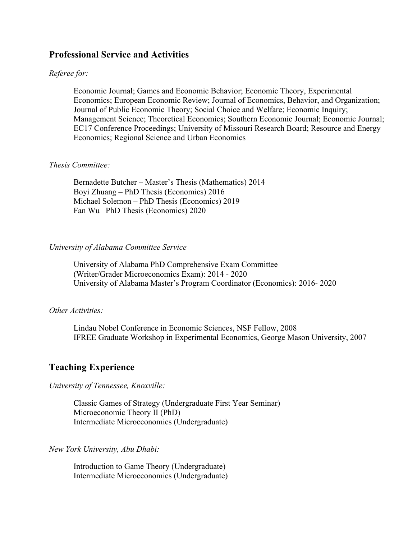### **Professional Service and Activities**

#### *Referee for:*

Economic Journal; Games and Economic Behavior; Economic Theory, Experimental Economics; European Economic Review; Journal of Economics, Behavior, and Organization; Journal of Public Economic Theory; Social Choice and Welfare; Economic Inquiry; Management Science; Theoretical Economics; Southern Economic Journal; Economic Journal; EC17 Conference Proceedings; University of Missouri Research Board; Resource and Energy Economics; Regional Science and Urban Economics

#### *Thesis Committee:*

Bernadette Butcher – Master's Thesis (Mathematics) 2014 Boyi Zhuang – PhD Thesis (Economics) 2016 Michael Solemon – PhD Thesis (Economics) 2019 Fan Wu– PhD Thesis (Economics) 2020

#### *University of Alabama Committee Service*

University of Alabama PhD Comprehensive Exam Committee (Writer/Grader Microeconomics Exam): 2014 - 2020 University of Alabama Master's Program Coordinator (Economics): 2016- 2020

#### *Other Activities:*

Lindau Nobel Conference in Economic Sciences, NSF Fellow, 2008 IFREE Graduate Workshop in Experimental Economics, George Mason University, 2007

### **Teaching Experience**

*University of Tennessee, Knoxville:*

Classic Games of Strategy (Undergraduate First Year Seminar) Microeconomic Theory II (PhD) Intermediate Microeconomics (Undergraduate)

*New York University, Abu Dhabi:*

Introduction to Game Theory (Undergraduate) Intermediate Microeconomics (Undergraduate)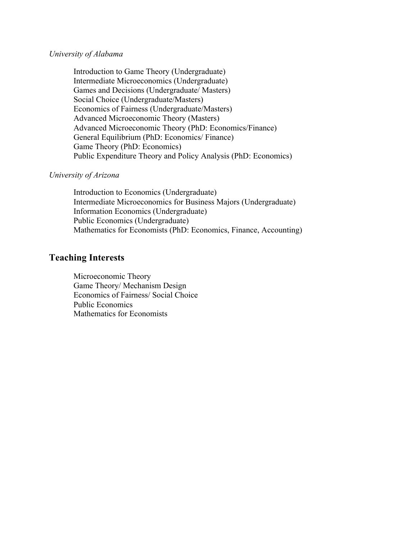#### *University of Alabama*

Introduction to Game Theory (Undergraduate) Intermediate Microeconomics (Undergraduate) Games and Decisions (Undergraduate/ Masters) Social Choice (Undergraduate/Masters) Economics of Fairness (Undergraduate/Masters) Advanced Microeconomic Theory (Masters) Advanced Microeconomic Theory (PhD: Economics/Finance) General Equilibrium (PhD: Economics/ Finance) Game Theory (PhD: Economics) Public Expenditure Theory and Policy Analysis (PhD: Economics)

#### *University of Arizona*

Introduction to Economics (Undergraduate) Intermediate Microeconomics for Business Majors (Undergraduate) Information Economics (Undergraduate) Public Economics (Undergraduate) Mathematics for Economists (PhD: Economics, Finance, Accounting)

## **Teaching Interests**

Microeconomic Theory Game Theory/ Mechanism Design Economics of Fairness/ Social Choice Public Economics Mathematics for Economists